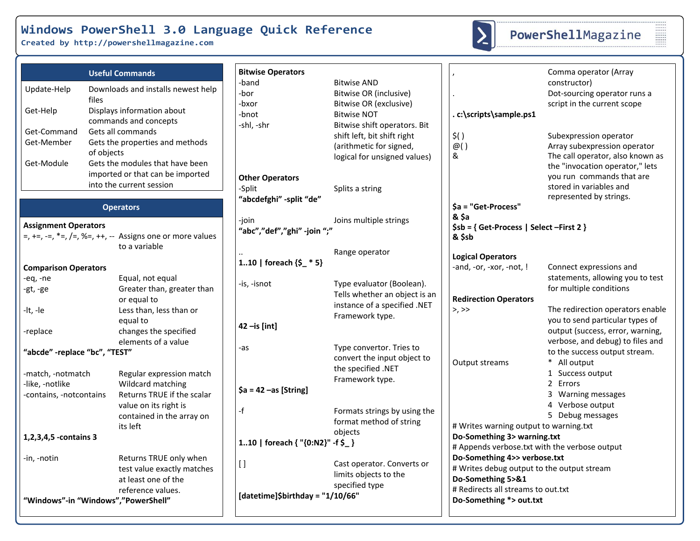**Created by http://powershellmagazine.com**



# PowerShellMagazine

| <b>Useful Commands</b>                                                                                                                                                                                           | <b>Bitwise Operators</b>                      |                                                                                                                              |                                                                                                                                       | Comma operator (Array                                                                                                                                                                 |
|------------------------------------------------------------------------------------------------------------------------------------------------------------------------------------------------------------------|-----------------------------------------------|------------------------------------------------------------------------------------------------------------------------------|---------------------------------------------------------------------------------------------------------------------------------------|---------------------------------------------------------------------------------------------------------------------------------------------------------------------------------------|
| Downloads and installs newest help<br>Update-Help<br>files<br>Get-Help<br>Displays information about<br>commands and concepts                                                                                    | -band<br>-bor<br>-bxor<br>-bnot<br>-shl, -shr | <b>Bitwise AND</b><br>Bitwise OR (inclusive)<br>Bitwise OR (exclusive)<br><b>Bitwise NOT</b><br>Bitwise shift operators. Bit | .c:\scripts\sample.ps1                                                                                                                | constructor)<br>Dot-sourcing operator runs a<br>script in the current scope                                                                                                           |
| Get-Command<br>Gets all commands<br>Get-Member<br>Gets the properties and methods<br>of objects<br>Gets the modules that have been<br>Get-Module<br>imported or that can be imported<br>into the current session | <b>Other Operators</b><br>-Split              | shift left, bit shift right<br>(arithmetic for signed,<br>logical for unsigned values)                                       | $\zeta()$<br>@()<br>&                                                                                                                 | Subexpression operator<br>Array subexpression operator<br>The call operator, also known as<br>the "invocation operator," lets<br>you run commands that are<br>stored in variables and |
| <b>Operators</b>                                                                                                                                                                                                 | "abcdefghi" -split "de"                       | Splits a string                                                                                                              | \$a = "Get-Process"                                                                                                                   | represented by strings.                                                                                                                                                               |
| <b>Assignment Operators</b><br>$=$ , $+=$ , $=$ , $*=$ , $/=$ , $\%=$ , $++$ , $-$ Assigns one or more values<br>to a variable                                                                                   | -join<br>"abc","def","ghi" -join ";"          | Joins multiple strings                                                                                                       | & \$a<br>$$sb = { Get-Process   Select-First 2 }$<br>& \$sb                                                                           |                                                                                                                                                                                       |
| <b>Comparison Operators</b>                                                                                                                                                                                      | 110   foreach $\{\$$ * 5}                     | Range operator                                                                                                               | <b>Logical Operators</b><br>-and, -or, -xor, -not, !                                                                                  | Connect expressions and                                                                                                                                                               |
| Equal, not equal<br>-eq, -ne<br>Greater than, greater than<br>-gt, -ge<br>or equal to<br>Less than, less than or                                                                                                 | -is, -isnot                                   | Type evaluator (Boolean).<br>Tells whether an object is an<br>instance of a specified .NET                                   | <b>Redirection Operators</b><br>$>$ , $>>$                                                                                            | statements, allowing you to test<br>for multiple conditions<br>The redirection operators enable                                                                                       |
| $-lt, -le$<br>equal to<br>changes the specified<br>-replace<br>elements of a value                                                                                                                               | $42$ -is [int]                                | Framework type.                                                                                                              |                                                                                                                                       | you to send particular types of<br>output (success, error, warning,<br>verbose, and debug) to files and                                                                               |
| "abcde" -replace "bc", "TEST"                                                                                                                                                                                    | -as                                           | Type convertor. Tries to<br>convert the input object to<br>the specified .NET                                                | Output streams                                                                                                                        | to the success output stream.<br>* All output                                                                                                                                         |
| -match, -notmatch<br>Regular expression match<br>-like, -notlike<br>Wildcard matching<br>Returns TRUE if the scalar<br>-contains, -notcontains                                                                   | $\$a = 42 - as$ [String]                      | Framework type.                                                                                                              |                                                                                                                                       | 1 Success output<br>2 Errors<br>3 Warning messages<br>4 Verbose output                                                                                                                |
| value on its right is<br>contained in the array on<br>its left                                                                                                                                                   | -f                                            | Formats strings by using the<br>format method of string<br>objects                                                           | # Writes warning output to warning.txt                                                                                                | 5 Debug messages                                                                                                                                                                      |
| 1,2,3,4,5 -contains 3                                                                                                                                                                                            | 110   foreach { "{0:N2}" -f \$_}              |                                                                                                                              | Do-Something 3> warning.txt<br># Appends verbose.txt with the verbose output                                                          |                                                                                                                                                                                       |
| Returns TRUE only when<br>-in, -notin<br>test value exactly matches<br>at least one of the<br>reference values.                                                                                                  | $[ \ ]$                                       | Cast operator. Converts or<br>limits objects to the<br>specified type                                                        | Do-Something 4>> verbose.txt<br># Writes debug output to the output stream<br>Do-Something 5>&1<br># Redirects all streams to out.txt |                                                                                                                                                                                       |
| "Windows"-in "Windows","PowerShell"                                                                                                                                                                              | [datetime]\$birthday = "1/10/66"              |                                                                                                                              | Do-Something *> out.txt                                                                                                               |                                                                                                                                                                                       |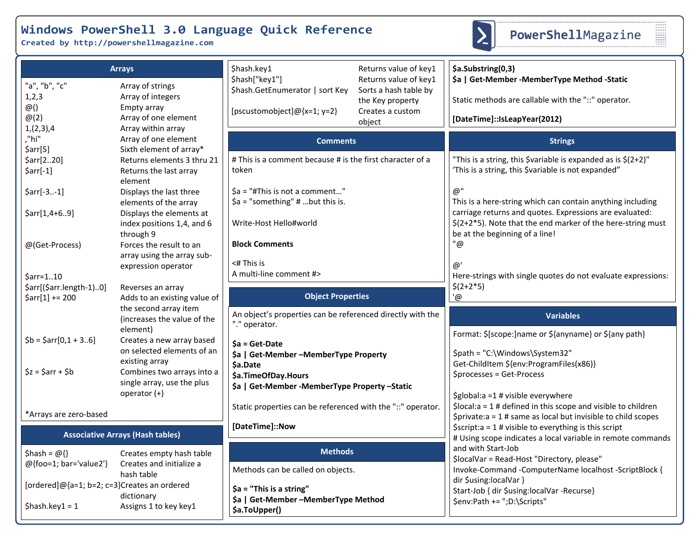**Created by http://powershellmagazine.com**



------<br>------<br>------<br>-------<br>-------

|                                                                  | <b>Arrays</b>                                                                                      | \$hash.key1                                                                                                                                                                                                                      | Returns value of key1                                                                            | \$a.Substring(0,3)                                                                                                                                                      |  |
|------------------------------------------------------------------|----------------------------------------------------------------------------------------------------|----------------------------------------------------------------------------------------------------------------------------------------------------------------------------------------------------------------------------------|--------------------------------------------------------------------------------------------------|-------------------------------------------------------------------------------------------------------------------------------------------------------------------------|--|
| "a", "b", "c"<br>1,2,3<br>@()<br>$\omega(2)$<br>1,(2,3),4        | Array of strings<br>Array of integers<br>Empty array<br>Array of one element<br>Array within array | \$hash["key1"]<br>\$hash.GetEnumerator   sort Key<br>[pscustomobject]@{x=1; y=2}                                                                                                                                                 | Returns value of key1<br>Sorts a hash table by<br>the Key property<br>Creates a custom<br>object | \$a   Get-Member - Member Type Method - Static<br>Static methods are callable with the "::" operator.<br>[DateTime]::IsLeapYear(2012)                                   |  |
| ,"hi"                                                            | Array of one element                                                                               | <b>Comments</b>                                                                                                                                                                                                                  |                                                                                                  | <b>Strings</b>                                                                                                                                                          |  |
| $\frac{5}{2}$ arr[5]<br>\$arr[220]<br>$\text{Sarr}[-1]$          | Sixth element of array*<br>Returns elements 3 thru 21<br>Returns the last array<br>element         | # This is a comment because # is the first character of a<br>token                                                                                                                                                               |                                                                                                  | "This is a string, this \$variable is expanded as is \$(2+2)"<br>'This is a string, this \$variable is not expanded"                                                    |  |
| $\text{Sarr}[-31]$                                               | Displays the last three<br>elements of the array                                                   | \$a = "#This is not a comment"<br>$\$a$ = "something" # but this is.                                                                                                                                                             |                                                                                                  | @''<br>This is a here-string which can contain anything including                                                                                                       |  |
| $\frac{5}{2}arr[1, 4+69]$                                        | Displays the elements at<br>index positions 1,4, and 6<br>through 9                                | Write-Host Hello#world                                                                                                                                                                                                           |                                                                                                  | carriage returns and quotes. Expressions are evaluated:<br>$$(2+2*5)$ . Note that the end marker of the here-string must<br>be at the beginning of a line!              |  |
| @(Get-Process)                                                   | Forces the result to an<br>array using the array sub-<br>expression operator                       | <b>Block Comments</b><br>$<$ # This is                                                                                                                                                                                           |                                                                                                  | "@<br>@'                                                                                                                                                                |  |
| $\text{Sarr}=110$<br>\$arr[(\$arr.length-1)0]                    | Reverses an array                                                                                  | A multi-line comment #>                                                                                                                                                                                                          |                                                                                                  | Here-strings with single quotes do not evaluate expressions:<br>$$(2+2*5)$                                                                                              |  |
| $$arr[1] += 200$                                                 | Adds to an existing value of                                                                       | <b>Object Properties</b>                                                                                                                                                                                                         |                                                                                                  | '@                                                                                                                                                                      |  |
|                                                                  | the second array item<br>(increases the value of the<br>element)                                   | An object's properties can be referenced directly with the<br>"." operator.<br>$Sa = Get-Date$<br>\$a   Get-Member - Member Type Property<br>\$a.Date<br>\$a.TimeOfDay.Hours<br>\$a   Get-Member - Member Type Property - Static |                                                                                                  | <b>Variables</b>                                                                                                                                                        |  |
| $$b = $arr[0,1 + 36]$                                            | Creates a new array based<br>on selected elements of an                                            |                                                                                                                                                                                                                                  |                                                                                                  | Format: \$[scope:]name or \${anyname} or \${any path}<br>\$path = "C:\Windows\System32"                                                                                 |  |
| $\zeta$ z = $\zeta$ arr + $\zeta$ b                              | existing array<br>Combines two arrays into a<br>single array, use the plus                         |                                                                                                                                                                                                                                  |                                                                                                  | Get-ChildItem \${env:ProgramFiles(x86)}<br>\$processes = Get-Process                                                                                                    |  |
| *Arrays are zero-based                                           | operator (+)                                                                                       | Static properties can be referenced with the "::" operator.                                                                                                                                                                      |                                                                                                  | \$global:a =1 # visible everywhere<br>$$local:a = 1 # defined in this scope and visible to children$<br>$$private: a = 1 # same as local but invisible to child scopes$ |  |
| <b>Associative Arrays (Hash tables)</b>                          |                                                                                                    | [DateTime]::Now                                                                                                                                                                                                                  |                                                                                                  | $\frac{1}{2}$ \$script:a = 1 # visible to everything is this script<br># Using scope indicates a local variable in remote commands                                      |  |
| \$hash = $@{}$ {}                                                | Creates empty hash table                                                                           | <b>Methods</b>                                                                                                                                                                                                                   |                                                                                                  | and with Start-Job<br>\$localVar = Read-Host "Directory, please"                                                                                                        |  |
| @{foo=1; bar='value2'}<br>Creates and initialize a<br>hash table |                                                                                                    | Methods can be called on objects.                                                                                                                                                                                                |                                                                                                  | Invoke-Command -ComputerName localhost -ScriptBlock {<br>dir \$using:localVar }                                                                                         |  |
|                                                                  |                                                                                                    |                                                                                                                                                                                                                                  |                                                                                                  |                                                                                                                                                                         |  |
| [ordered]@{a=1; b=2; c=3}Creates an ordered                      | dictionary                                                                                         | \$a = "This is a string"<br>\$a   Get-Member - Member Type Method                                                                                                                                                                |                                                                                                  | Start-Job { dir \$using:localVar -Recurse}<br>\$env:Path += ";D:\Scripts"                                                                                               |  |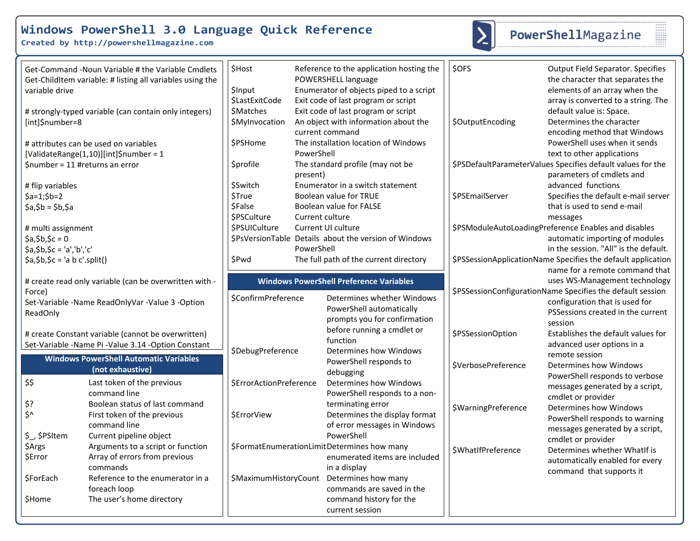**Created by http://powershellmagazine.com**



# PowerShellMagazine

|                                        | Get-Command -Noun Variable # the Variable Cmdlets<br>Get-ChildItem variable: # listing all variables using the | \$Host                  |            | Reference to the application hosting the<br>POWERSHELL language | \$OFS                     | <b>Output Field Separator. Specifies</b><br>the character that separates the             |
|----------------------------------------|----------------------------------------------------------------------------------------------------------------|-------------------------|------------|-----------------------------------------------------------------|---------------------------|------------------------------------------------------------------------------------------|
| variable drive                         |                                                                                                                | \$Input                 |            | Enumerator of objects piped to a script                         |                           | elements of an array when the                                                            |
|                                        |                                                                                                                | \$LastExitCode          |            | Exit code of last program or script                             |                           | array is converted to a string. The                                                      |
|                                        | # strongly-typed variable (can contain only integers)                                                          | <b>\$Matches</b>        |            | Exit code of last program or script                             |                           | default value is: Space.                                                                 |
| [int]\$number=8                        |                                                                                                                | \$MyInvocation          |            | An object with information about the<br>current command         | \$OutputEncoding          | Determines the character<br>encoding method that Windows                                 |
| # attributes can be used on variables  |                                                                                                                | \$PSHome                |            | The installation location of Windows                            |                           | PowerShell uses when it sends                                                            |
| [ValidateRange(1,10)][int]\$number = 1 |                                                                                                                |                         | PowerShell |                                                                 |                           | text to other applications                                                               |
| $$number = 11$ #returns an error       |                                                                                                                | <b>\$profile</b>        | present)   | The standard profile (may not be                                |                           | \$PSDefaultParameterValues Specifies default values for the<br>parameters of cmdlets and |
| # flip variables                       |                                                                                                                | <b>SSwitch</b>          |            | Enumerator in a switch statement                                |                           | advanced functions                                                                       |
| $$a=1;$ \$b=2                          |                                                                                                                | <b>\$True</b>           |            | Boolean value for TRUE                                          | \$PSEmailServer           | Specifies the default e-mail server                                                      |
| $$a, $b = $b, $a$                      |                                                                                                                | <b>SFalse</b>           |            | Boolean value for FALSE                                         |                           | that is used to send e-mail                                                              |
|                                        |                                                                                                                | \$PSCulture             |            | Current culture                                                 |                           | messages                                                                                 |
| # multi assignment                     |                                                                                                                | <b>\$PSUICulture</b>    |            | Current UI culture                                              |                           | \$PSModuleAutoLoadingPreference Enables and disables                                     |
| $$a, $b, $c = 0$                       |                                                                                                                |                         |            | \$PsVersionTable Details about the version of Windows           |                           | automatic importing of modules                                                           |
| $$a, $b, $c = 'a', 'b', 'c'$           |                                                                                                                |                         | PowerShell |                                                                 |                           | in the session. "All" is the default.                                                    |
| $\sin(5a, 5b, 5c) = a b c'.split()$    |                                                                                                                | <b>SPwd</b>             |            | The full path of the current directory                          |                           | \$PSSessionApplicationName Specifies the default application                             |
|                                        |                                                                                                                |                         |            |                                                                 |                           | name for a remote command that                                                           |
|                                        | # create read only variable (can be overwritten with -                                                         |                         |            | <b>Windows PowerShell Preference Variables</b>                  |                           | uses WS-Management technology                                                            |
| Force)                                 |                                                                                                                | \$ConfirmPreference     |            |                                                                 |                           | \$PSSessionConfigurationName Specifies the default session                               |
|                                        | Set-Variable -Name ReadOnlyVar -Value 3 -Option                                                                |                         |            | Determines whether Windows                                      |                           | configuration that is used for                                                           |
| ReadOnly                               |                                                                                                                |                         |            | PowerShell automatically<br>prompts you for confirmation        |                           | PSSessions created in the current                                                        |
|                                        |                                                                                                                |                         |            | before running a cmdlet or                                      |                           | session                                                                                  |
|                                        | # create Constant variable (cannot be overwritten)                                                             |                         |            | function                                                        | \$PSSessionOption         | Establishes the default values for                                                       |
|                                        | Set-Variable -Name Pi -Value 3.14 -Option Constant                                                             | \$DebugPreference       |            | <b>Determines how Windows</b>                                   |                           | advanced user options in a                                                               |
|                                        | <b>Windows PowerShell Automatic Variables</b>                                                                  |                         |            | PowerShell responds to                                          |                           | remote session                                                                           |
|                                        | (not exhaustive)                                                                                               |                         |            | debugging                                                       | \$VerbosePreference       | Determines how Windows                                                                   |
| \$\$                                   | Last token of the previous                                                                                     | \$ErrorActionPreference |            | Determines how Windows                                          |                           | PowerShell responds to verbose                                                           |
|                                        | command line                                                                                                   |                         |            | PowerShell responds to a non-                                   |                           | messages generated by a script,                                                          |
| \$?                                    | Boolean status of last command                                                                                 |                         |            | terminating error                                               |                           | cmdlet or provider<br><b>Determines how Windows</b>                                      |
| \$^                                    | First token of the previous                                                                                    | \$ErrorView             |            | Determines the display format                                   | \$WarningPreference       | PowerShell responds to warning                                                           |
|                                        | command line                                                                                                   |                         |            | of error messages in Windows                                    |                           | messages generated by a script,                                                          |
| \$ \$PSItem                            | Current pipeline object                                                                                        |                         |            | PowerShell                                                      |                           | cmdlet or provider                                                                       |
| \$Args                                 | Arguments to a script or function                                                                              |                         |            | \$FormatEnumerationLimitDetermines how many                     | <b>\$WhatIfPreference</b> | Determines whether WhatIf is                                                             |
| \$Error                                | Array of errors from previous                                                                                  |                         |            | enumerated items are included                                   |                           | automatically enabled for every                                                          |
|                                        | commands                                                                                                       |                         |            | in a display                                                    |                           | command that supports it                                                                 |
| \$ForEach                              | Reference to the enumerator in a                                                                               |                         |            | \$MaximumHistoryCount Determines how many                       |                           |                                                                                          |
|                                        | foreach loop                                                                                                   |                         |            | commands are saved in the                                       |                           |                                                                                          |
| \$Home                                 | The user's home directory                                                                                      |                         |            | command history for the                                         |                           |                                                                                          |
|                                        |                                                                                                                |                         |            | current session                                                 |                           |                                                                                          |